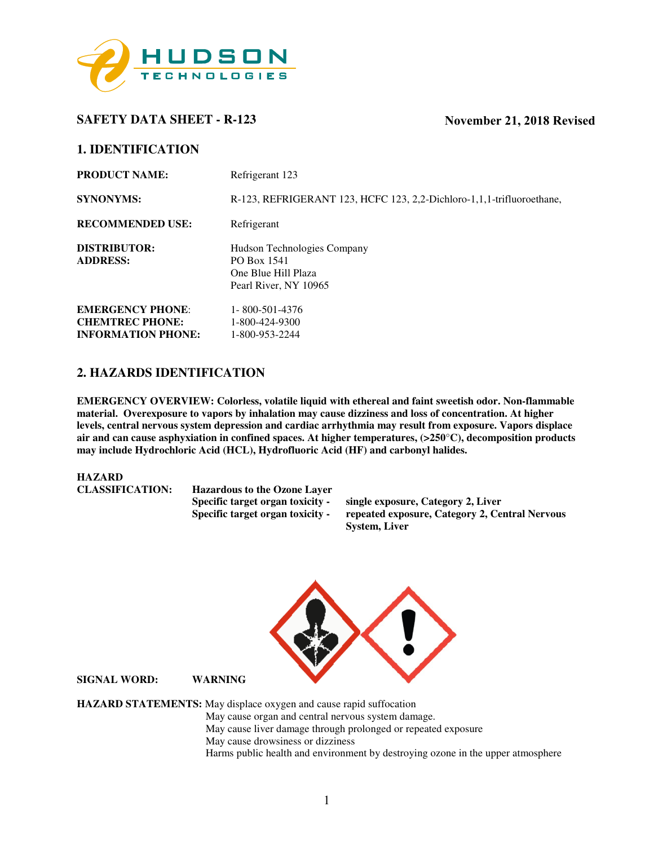

# **SAFETY DATA SHEET - R-123 November 21, 2018 Revised**

## **1. IDENTIFICATION**

| <b>PRODUCT NAME:</b>            | Refrigerant 123                                                                            |
|---------------------------------|--------------------------------------------------------------------------------------------|
| <b>SYNONYMS:</b>                | R-123, REFRIGERANT 123, HCFC 123, 2,2-Dichloro-1,1,1-trifluoroethane,                      |
| <b>RECOMMENDED USE:</b>         | Refrigerant                                                                                |
| DISTRIBUTOR:<br><b>ADDRESS:</b> | Hudson Technologies Company<br>PO Box 1541<br>One Blue Hill Plaza<br>Pearl River, NY 10965 |
| <b>EMERGENCY PHONE:</b>         | 1-800-501-4376                                                                             |
| <b>CHEMTREC PHONE:</b>          | 1-800-424-9300                                                                             |
| <b>INFORMATION PHONE:</b>       | 1-800-953-2244                                                                             |

# **2. HAZARDS IDENTIFICATION**

**EMERGENCY OVERVIEW: Colorless, volatile liquid with ethereal and faint sweetish odor. Non-flammable material. Overexposure to vapors by inhalation may cause dizziness and loss of concentration. At higher levels, central nervous system depression and cardiac arrhythmia may result from exposure. Vapors displace air and can cause asphyxiation in confined spaces. At higher temperatures, (>250**°**C), decomposition products may include Hydrochloric Acid (HCL), Hydrofluoric Acid (HF) and carbonyl halides.** 

#### **HAZARD**

| <b>CLASSIFICATION:</b> | <b>Hazardous to the Ozone Laver</b> |                                                |
|------------------------|-------------------------------------|------------------------------------------------|
|                        | Specific target organ toxicity -    | single exposure, Category 2, Liver             |
|                        | Specific target organ toxicity -    | repeated exposure, Category 2, Central Nervous |
|                        |                                     | <b>System, Liver</b>                           |



**SIGNAL WORD: WARNING** 

**HAZARD STATEMENTS:** May displace oxygen and cause rapid suffocation May cause organ and central nervous system damage. May cause liver damage through prolonged or repeated exposure May cause drowsiness or dizziness Harms public health and environment by destroying ozone in the upper atmosphere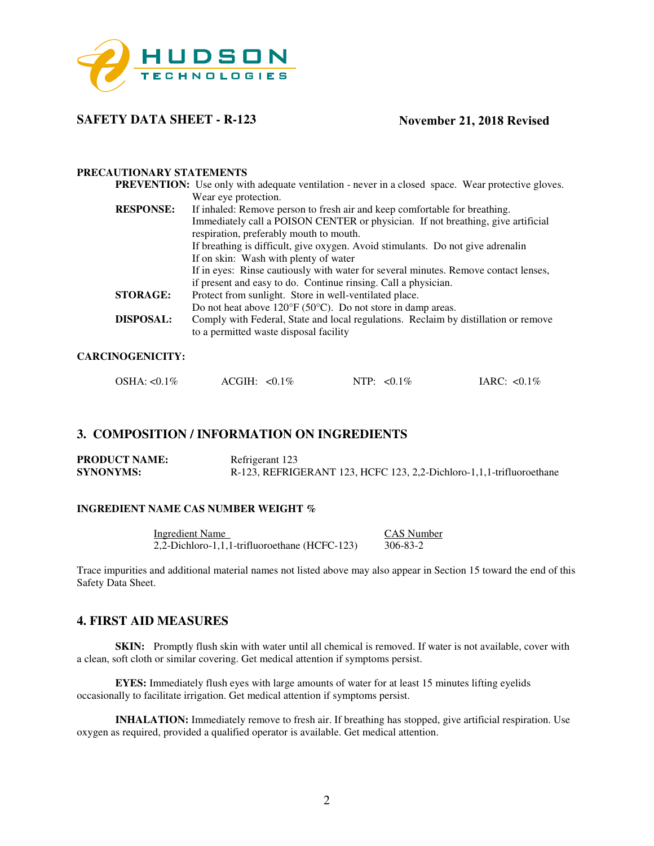

## **SAFETY DATA SHEET - R-123**

## **November 21, 2018 Revised**

## **PRECAUTIONARY STATEMENTS**

|                  | <b>PREVENTION:</b> Use only with adequate ventilation - never in a closed space. Wear protective gloves. |
|------------------|----------------------------------------------------------------------------------------------------------|
|                  | Wear eye protection.                                                                                     |
| <b>RESPONSE:</b> | If inhaled: Remove person to fresh air and keep comfortable for breathing.                               |
|                  | Immediately call a POISON CENTER or physician. If not breathing, give artificial                         |
|                  | respiration, preferably mouth to mouth.                                                                  |
|                  | If breathing is difficult, give oxygen. Avoid stimulants. Do not give adrenalin                          |
|                  | If on skin: Wash with plenty of water                                                                    |
|                  | If in eyes: Rinse cautiously with water for several minutes. Remove contact lenses,                      |
|                  | if present and easy to do. Continue rinsing. Call a physician.                                           |
| <b>STORAGE:</b>  | Protect from sunlight. Store in well-ventilated place.                                                   |
|                  | Do not heat above $120^{\circ}F(50^{\circ}C)$ . Do not store in damp areas.                              |
| <b>DISPOSAL:</b> | Comply with Federal, State and local regulations. Reclaim by distillation or remove                      |
|                  | to a permitted waste disposal facility                                                                   |
|                  |                                                                                                          |

#### **CARCINOGENICITY:**

| OSHA: $< 0.1\%$<br>$ACGH: <0.1\%$ |  | NTP: $< 0.1\%$ | IARC: $< 0.1\%$ |
|-----------------------------------|--|----------------|-----------------|
|-----------------------------------|--|----------------|-----------------|

## **3. COMPOSITION / INFORMATION ON INGREDIENTS**

| <b>PRODUCT NAME:</b> | Refrigerant 123                                                      |
|----------------------|----------------------------------------------------------------------|
| <b>SYNONYMS:</b>     | R-123, REFRIGERANT 123, HCFC 123, 2,2-Dichloro-1,1,1-trifluoroethane |

#### **INGREDIENT NAME CAS NUMBER WEIGHT %**

Ingredient Name<br>
2.2-Dichloro-1.1.1-trifluoroethane (HCFC-123) 306-83-2 2,2-Dichloro-1,1,1-trifluoroethane (HCFC-123)

Trace impurities and additional material names not listed above may also appear in Section 15 toward the end of this Safety Data Sheet.

## **4. FIRST AID MEASURES**

**SKIN:** Promptly flush skin with water until all chemical is removed. If water is not available, cover with a clean, soft cloth or similar covering. Get medical attention if symptoms persist.

**EYES:** Immediately flush eyes with large amounts of water for at least 15 minutes lifting eyelids occasionally to facilitate irrigation. Get medical attention if symptoms persist.

**INHALATION:** Immediately remove to fresh air. If breathing has stopped, give artificial respiration. Use oxygen as required, provided a qualified operator is available. Get medical attention.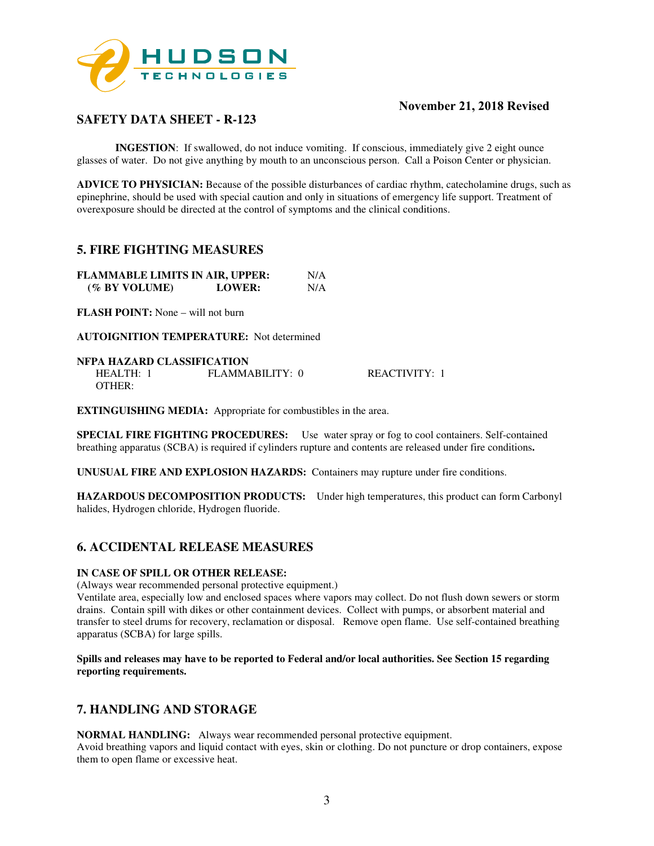

# **SAFETY DATA SHEET - R-123**

**INGESTION:** If swallowed, do not induce vomiting. If conscious, immediately give 2 eight ounce glasses of water. Do not give anything by mouth to an unconscious person. Call a Poison Center or physician.

**ADVICE TO PHYSICIAN:** Because of the possible disturbances of cardiac rhythm, catecholamine drugs, such as epinephrine, should be used with special caution and only in situations of emergency life support. Treatment of overexposure should be directed at the control of symptoms and the clinical conditions.

## **5. FIRE FIGHTING MEASURES**

| <b>FLAMMABLE LIMITS IN AIR, UPPER:</b> |               | N/A |
|----------------------------------------|---------------|-----|
| (% BY VOLUME)                          | <b>LOWER:</b> | N/A |

**FLASH POINT:** None – will not burn

**AUTOIGNITION TEMPERATURE:** Not determined

#### **NFPA HAZARD CLASSIFICATION**

| HEALTH: | FLAMMABILITY: 0 | REACTIVITY: 1 |
|---------|-----------------|---------------|
| OTHER:  |                 |               |

**EXTINGUISHING MEDIA:** Appropriate for combustibles in the area.

**SPECIAL FIRE FIGHTING PROCEDURES:** Use water spray or fog to cool containers. Self-contained breathing apparatus (SCBA) is required if cylinders rupture and contents are released under fire conditions**.** 

**UNUSUAL FIRE AND EXPLOSION HAZARDS:** Containers may rupture under fire conditions.

**HAZARDOUS DECOMPOSITION PRODUCTS:** Under high temperatures, this product can form Carbonyl halides, Hydrogen chloride, Hydrogen fluoride.

# **6. ACCIDENTAL RELEASE MEASURES**

#### **IN CASE OF SPILL OR OTHER RELEASE:**

(Always wear recommended personal protective equipment.)

Ventilate area, especially low and enclosed spaces where vapors may collect. Do not flush down sewers or storm drains. Contain spill with dikes or other containment devices. Collect with pumps, or absorbent material and transfer to steel drums for recovery, reclamation or disposal. Remove open flame. Use self-contained breathing apparatus (SCBA) for large spills.

**Spills and releases may have to be reported to Federal and/or local authorities. See Section 15 regarding reporting requirements.** 

## **7. HANDLING AND STORAGE**

**NORMAL HANDLING:** Always wear recommended personal protective equipment.

Avoid breathing vapors and liquid contact with eyes, skin or clothing. Do not puncture or drop containers, expose them to open flame or excessive heat.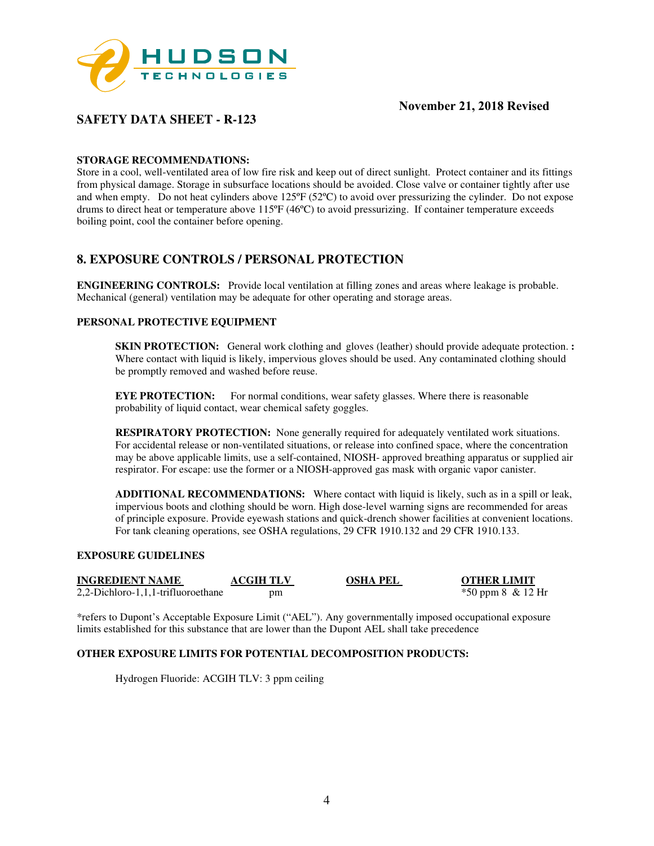

# **SAFETY DATA SHEET - R-123**

## **STORAGE RECOMMENDATIONS:**

Store in a cool, well-ventilated area of low fire risk and keep out of direct sunlight. Protect container and its fittings from physical damage. Storage in subsurface locations should be avoided. Close valve or container tightly after use and when empty. Do not heat cylinders above 125ºF (52ºC) to avoid over pressurizing the cylinder. Do not expose drums to direct heat or temperature above 115ºF (46ºC) to avoid pressurizing. If container temperature exceeds boiling point, cool the container before opening.

## **8. EXPOSURE CONTROLS / PERSONAL PROTECTION**

**ENGINEERING CONTROLS:** Provide local ventilation at filling zones and areas where leakage is probable. Mechanical (general) ventilation may be adequate for other operating and storage areas.

## **PERSONAL PROTECTIVE EQUIPMENT**

**SKIN PROTECTION:** General work clothing and gloves (leather) should provide adequate protection. **:** Where contact with liquid is likely, impervious gloves should be used. Any contaminated clothing should be promptly removed and washed before reuse.

**EYE PROTECTION:** For normal conditions, wear safety glasses. Where there is reasonable probability of liquid contact, wear chemical safety goggles.

**RESPIRATORY PROTECTION:** None generally required for adequately ventilated work situations. For accidental release or non-ventilated situations, or release into confined space, where the concentration may be above applicable limits, use a self-contained, NIOSH- approved breathing apparatus or supplied air respirator. For escape: use the former or a NIOSH-approved gas mask with organic vapor canister.

**ADDITIONAL RECOMMENDATIONS:** Where contact with liquid is likely, such as in a spill or leak, impervious boots and clothing should be worn. High dose-level warning signs are recommended for areas of principle exposure. Provide eyewash stations and quick-drench shower facilities at convenient locations. For tank cleaning operations, see OSHA regulations, 29 CFR 1910.132 and 29 CFR 1910.133.

#### **EXPOSURE GUIDELINES**

| <b>INGREDIENT NAME</b>             | <b>ACGIH TLV</b> | OSHA PEL |
|------------------------------------|------------------|----------|
| 2,2-Dichloro-1,1,1-trifluoroethane | pm               |          |

**OTHER LIMIT**  $*50$  ppm 8 & 12 Hr

\*refers to Dupont's Acceptable Exposure Limit ("AEL"). Any governmentally imposed occupational exposure limits established for this substance that are lower than the Dupont AEL shall take precedence

#### **OTHER EXPOSURE LIMITS FOR POTENTIAL DECOMPOSITION PRODUCTS:**

Hydrogen Fluoride: ACGIH TLV: 3 ppm ceiling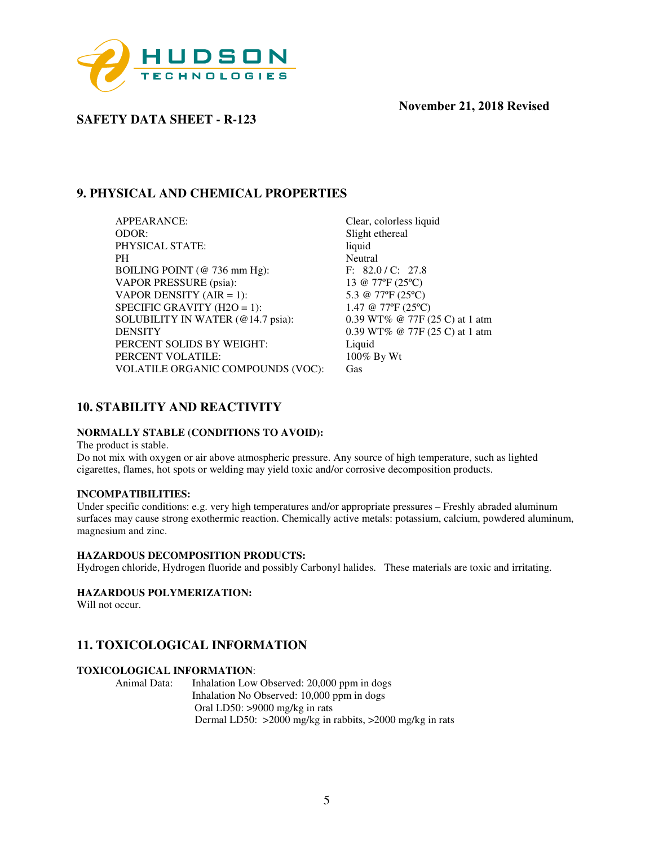

**SAFETY DATA SHEET - R-123** 

# **9. PHYSICAL AND CHEMICAL PROPERTIES**

APPEARANCE: Clear, colorless liquid ODOR: Slight ethereal PHYSICAL STATE: liquid PH Neutral<br>BOILING POINT (@ 736 mm Hg): F: 82.0 / C: 27.8 BOILING POINT (@ 736 mm Hg): F: 82.0 / C: 27.8<br>VAPOR PRESSURE (psia): 13 @ 77°F (25°C) VAPOR PRESSURE (psia): VAPOR DENSITY (AIR = 1):  $5.3 @ 77°F (25°C)$ SPECIFIC GRAVITY (H2O = 1):  $1.47 \text{ } @ 77\text{ }°F (25\text{ }°C)$ <br>SOLUBILITY IN WATER (@14.7 psia):  $0.39 \text{ } W T\% \text{ } @ 77\text{ }F (25\text{ }°C)$  at 1 atm SOLUBILITY IN WATER (@14.7 psia): DENSITY 0.39 WT% @ 77F (25 C) at 1 atm PERCENT SOLIDS BY WEIGHT: Liquid<br>
PERCENT VOLATILE: 100% By Wt PERCENT VOLATILE: VOLATILE ORGANIC COMPOUNDS (VOC): Gas

# **10. STABILITY AND REACTIVITY**

#### **NORMALLY STABLE (CONDITIONS TO AVOID):**

The product is stable.

Do not mix with oxygen or air above atmospheric pressure. Any source of high temperature, such as lighted cigarettes, flames, hot spots or welding may yield toxic and/or corrosive decomposition products.

#### **INCOMPATIBILITIES:**

Under specific conditions: e.g. very high temperatures and/or appropriate pressures – Freshly abraded aluminum surfaces may cause strong exothermic reaction. Chemically active metals: potassium, calcium, powdered aluminum, magnesium and zinc.

#### **HAZARDOUS DECOMPOSITION PRODUCTS:**

Hydrogen chloride, Hydrogen fluoride and possibly Carbonyl halides. These materials are toxic and irritating.

#### **HAZARDOUS POLYMERIZATION:**

Will not occur.

# **11. TOXICOLOGICAL INFORMATION**

#### **TOXICOLOGICAL INFORMATION**:

Animal Data: Inhalation Low Observed: 20,000 ppm in dogs Inhalation No Observed: 10,000 ppm in dogs Oral LD50: >9000 mg/kg in rats Dermal LD50: >2000 mg/kg in rabbits, >2000 mg/kg in rats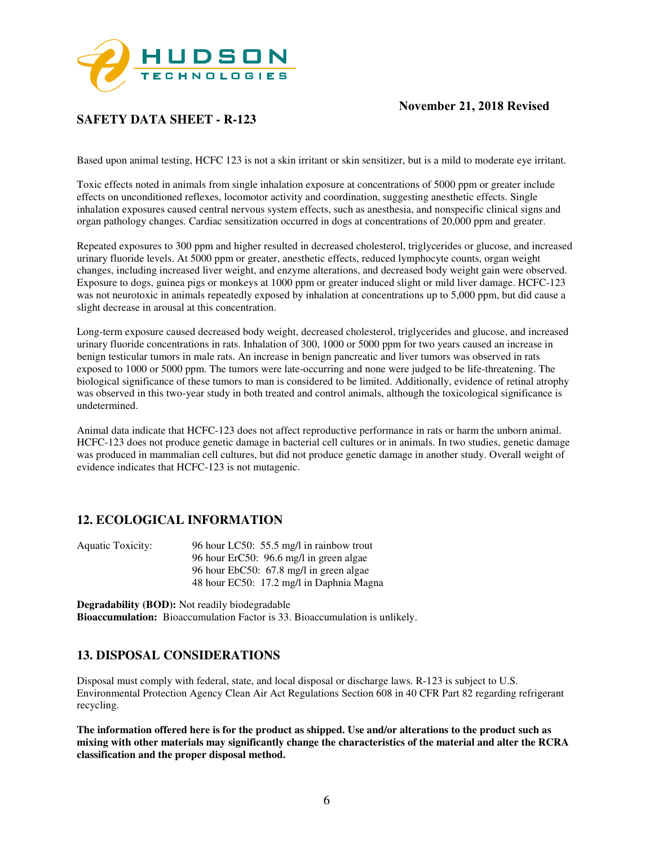

# **SAFETY DATA SHEET - R-123**

Based upon animal testing, HCFC 123 is not a skin irritant or skin sensitizer, but is a mild to moderate eye irritant.

Toxic effects noted in animals from single inhalation exposure at concentrations of 5000 ppm or greater include effects on unconditioned reflexes, locomotor activity and coordination, suggesting anesthetic effects. Single inhalation exposures caused central nervous system effects, such as anesthesia, and nonspecific clinical signs and organ pathology changes. Cardiac sensitization occurred in dogs at concentrations of 20,000 ppm and greater.

Repeated exposures to 300 ppm and higher resulted in decreased cholesterol, triglycerides or glucose, and increased urinary fluoride levels. At 5000 ppm or greater, anesthetic effects, reduced lymphocyte counts, organ weight changes, including increased liver weight, and enzyme alterations, and decreased body weight gain were observed. Exposure to dogs, guinea pigs or monkeys at 1000 ppm or greater induced slight or mild liver damage. HCFC-123 was not neurotoxic in animals repeatedly exposed by inhalation at concentrations up to 5,000 ppm, but did cause a slight decrease in arousal at this concentration.

Long-term exposure caused decreased body weight, decreased cholesterol, triglycerides and glucose, and increased urinary fluoride concentrations in rats. Inhalation of 300, 1000 or 5000 ppm for two years caused an increase in benign testicular tumors in male rats. An increase in benign pancreatic and liver tumors was observed in rats exposed to 1000 or 5000 ppm. The tumors were late-occurring and none were judged to be life-threatening. The biological significance of these tumors to man is considered to be limited. Additionally, evidence of retinal atrophy was observed in this two-year study in both treated and control animals, although the toxicological significance is undetermined.

Animal data indicate that HCFC-123 does not affect reproductive performance in rats or harm the unborn animal. HCFC-123 does not produce genetic damage in bacterial cell cultures or in animals. In two studies, genetic damage was produced in mammalian cell cultures, but did not produce genetic damage in another study. Overall weight of evidence indicates that HCFC-123 is not mutagenic.

## **12. ECOLOGICAL INFORMATION**

| Aquatic Toxicity: | 96 hour LC50: 55.5 mg/l in rainbow trout |
|-------------------|------------------------------------------|
|                   | 96 hour ErC50: 96.6 mg/l in green algae  |
|                   | 96 hour EbC50: 67.8 mg/l in green algae  |
|                   | 48 hour EC50: 17.2 mg/l in Daphnia Magna |

**Degradability (BOD):** Not readily biodegradable **Bioaccumulation:** Bioaccumulation Factor is 33. Bioaccumulation is unlikely.

## **13. DISPOSAL CONSIDERATIONS**

Disposal must comply with federal, state, and local disposal or discharge laws. R-123 is subject to U.S. Environmental Protection Agency Clean Air Act Regulations Section 608 in 40 CFR Part 82 regarding refrigerant recycling.

**The information offered here is for the product as shipped. Use and/or alterations to the product such as mixing with other materials may significantly change the characteristics of the material and alter the RCRA classification and the proper disposal method.**